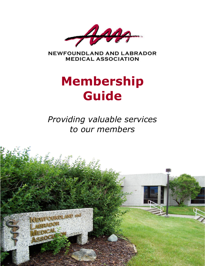

**NEWFOUNDLAND AND LABRADOR MEDICAL ASSOCIATION** 

# **Membership Guide**

*Providing valuable services to our members*

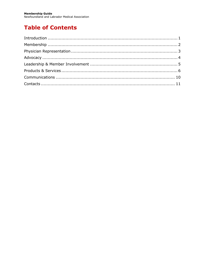# **Table of Contents**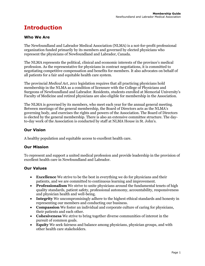# <span id="page-2-0"></span>**Introduction**

### **Who We Are**

The Newfoundland and Labrador Medical Association (NLMA) is a not-for-profit professional organization funded primarily by its members and governed by elected physicians who represent the physicians of Newfoundland and Labrador, Canada.

The NLMA represents the political, clinical and economic interests of the province's medical profession. As the representative for physicians in contract negotiations, it is committed to negotiating competitive compensation and benefits for members. It also advocates on behalf of all patients for a fair and equitable health care system.

The provincial *Medical Act, 2011* legislation requires that all practicing physicians hold membership in the NLMA as a condition of licensure with the College of Physicians and Surgeons of Newfoundland and Labrador. Residents, students enrolled at Memorial University's Faculty of Medicine and retired physicians are also eligible for membership in the Association.

The NLMA is governed by its members, who meet each year for the annual general meeting. Between meetings of the general membership, the Board of Directors acts as the NLMA's governing body, and exercises the rights and powers of the Association. The Board of Directors is elected by the general membership. There is also an extensive committee structure. The dayto-day work of the Association is conducted by staff at NLMA House in St. John's.

### **Our Vision**

A healthy population and equitable access to excellent health care.

#### **Our Mission**

To represent and support a united medical profession and provide leadership in the provision of excellent health care in Newfoundland and Labrador.

### **Our Values**

- **Excellence** We strive to be the best in everything we do for physicians and their patients, and we are committed to continuous learning and improvement.
- **Professionalism** We strive to unite physicians around the fundamental tenets of high quality standards, patient safety, professional autonomy, accountability, responsiveness and physician health and well-being.
- **Integrity** We uncompromisingly adhere to the highest ethical standards and honesty in representing our members and conducting our business.
- **Compassion** We foster an individual and corporate culture of caring for physicians, their patients and each other.
- **Cohesiveness** We strive to bring together diverse communities of interest in the pursuit of common goals.
- **Equity** We seek fairness and balance among physicians, physician groups, and with other health care stakeholders.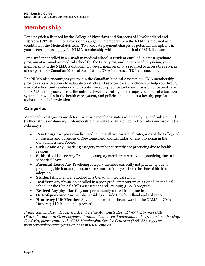# <span id="page-3-0"></span>**Membership**

For a physician licensed by the College of Physicians and Surgeons of Newfoundland and Labrador (CPSNL; Full or Provisional category), membership in the NLMA is required as a condition of the *Medical Act, 2011*. To avoid late payment charges or potential disruptions in your license, please apply for NLMA membership within one month of CPSNL licensure.

For a student enrolled in a Canadian medical school, a resident enrolled in a post-graduate program at a Canadian medical school (or the CSAT program), or a retired physician, your membership in the NLMA is optional. However, membership is required to access the services of our partners (Canadian Medical Association, OMA Insurance, TD Insurance, etc.).

The NLMA also encourages you to join the Canadian Medical Association. CMA membership provides you with access to valuable products and services carefully chosen to help you through medical school and residency and to optimize your practice and your provision of patient care. The CMA is also your voice at the national level advocating for an improved medical education system, innovation in the health care system, and policies that support a healthy population and a vibrant medical profession.

### **Categories**

Membership categories are determined by a member's status when applying, and subsequently by their status on January 1. Membership renewals are distributed in December and are due by February 15.

- **Practicing** Any physician licensed in the Full or Provisional categories of the College of Physicians and Surgeons of Newfoundland and Labrador, or any physician in the Canadian Armed Forces.
- **Sick Leave** Any Practicing category member currently not practicing due to health reasons.
- **Sabbatical Leave** Any Practicing category member currently not practicing due to a sabbatical leave.
- **Parental Leave** Any Practicing category member currently not practicing due to pregnancy, birth or adoption, to a maximum of one year from the date of birth or adoption.
- **Student** Any member enrolled in a Canadian medical school.
- **Resident** Any physician enrolled in a post-graduate program at a Canadian medical school, or the Clinical Skills Assessment and Training (CSAT) program.
- **Retired** Any physician fully and permanently retired from practice.
- **Out-of-province** Any member residing outside Newfoundland and Labrador.
- **Honorary Life Member** Any member who has been awarded the NLMA or CMA Honorary Life Membership Award.

*Please contact Suzan Izquierdo, Membership Administrator, at (709) 726-7424 (318), (800) 563-2003 (318), or [sizquierdo@nlma.nl.ca,](mailto:sizquierdo@nlma.nl.ca) or visit [www.nlma.nl.ca/nlma/membership.](http://www.nlma.nl.ca/nlma/membership) For CMA, please contact the CMA Membership Service Centre at (888) 885-2555 or [memberservicecentre@cma.ca,](mailto:memberservicecentre@cma.ca) or visit [www.cma.ca.](http://www.cma.ca/)*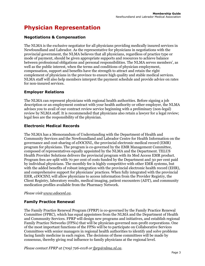# <span id="page-4-0"></span>**Physician Representation**

### **Negotiations & Compensation**

The NLMA is the exclusive negotiator for all physicians providing medically insured services in Newfoundland and Labrador. As the representative for physicians in negotiations with the provincial government, the NLMA believes that all physicians, regardless of practice type or mode of payment, should be given appropriate supports and resources to achieve balance between professional obligations and personal responsibilities. The NLMA serves members', as well as the public interest, when the terms and conditions of physician employment, compensation, support and benefits have the strength to attract and retain the right complement of physicians in the province to ensure high quality and stable medical services. NLMA staff will also help members interpret the payment schedule and provide advice on rates for non-insured services.

#### **Employer Relations**

The NLMA can represent physicians with regional health authorities. Before signing a job description or an employment contract with your health authority or other employer, the NLMA advises you to avail of our contract review service beginning with a preliminary (non-legal) review by NLMA staff. It is recommended that physicians also retain a lawyer for a legal review; legal fees are the responsibility of the physician.

#### **Electronic Medical Records**

The NLMA has a Memorandum of Understanding with the Department of Health and Community Services and the Newfoundland and Labrador Centre for Health Information on the governance and cost-sharing of *eDOCSNL*, the provincial electronic medical record (EMR) program for physicians. The program is co-governed by the EMR Management Committee, composed of representatives equally appointed by the NLMA and the Department. TELUS Health Provider Solutions delivers the provincial program with its Med Access EMR product. Program fees are split with 70 per cent of costs funded by the Department and 30 per cent paid by individual physicians. The monthly fee is highly competitive with other EMR systems, but with the added benefits of robust integration with the provincial electronic health record (EHR), and comprehensive support for physicians' practices. When fully integrated with the provincial EHR, *eDOCSNL* will allow physicians to access information from the Provider Registry, the Client Registry, laboratory results, medical imaging, patient encounters (ADT), and community medication profiles available from the Pharmacy Network.

#### *Please visi[t www.edocsnl.ca.](http://www.edocsnl.ca/)*

### **Family Practice Renewal**

The Family Practice Renewal Program (FPRP) is co-governed by the Family Practice Renewal Committee (FPRC), which has equal appointees from the NLMA and the Department of Health and Community Services. FPRP will design new programs and initiatives, and establish regional Family Practice Networks (FPNs) that will be physician-governed non-profit corporations. One of the most important functions of the FPNs will be to participate on Collaborative Services Committees with senior managers in regional health authorities to identify and solve problems facing family medicine in each region. The decisions of these committees will be made by consensus, thereby giving real influence to family physicians at the regional level.

*Please contact FPRP at (709) 726-0118 or [fprp@nlma.nl.ca.](mailto:fprp@nlma.nl.ca)*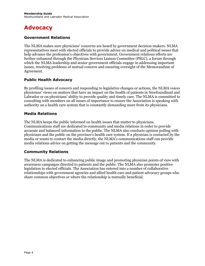# <span id="page-5-0"></span>**Advocacy**

#### **Government Relations**

The NLMA makes sure physicians' concerns are heard by government decision-makers. NLMA representatives meet with elected officials to provide advice on medical and political issues that help advance the profession's objectives with government. Government relations efforts are further enhanced through the Physician Services Liaison Committee (PSLC), a forum through which the NLMA leadership and senior government officials engage in addressing important issues, resolving problems of mutual concern and ensuring oversight of the Memorandum of Agreement.

#### **Public Health Advocacy**

By profiling issues of concern and responding to legislative changes or actions, the NLMA voices physicians' views on matters that have an impact on the health of patients in Newfoundland and Labrador or on physicians' ability to provide quality and timely care. The NLMA is committed to consulting with members on all issues of importance to ensure the Association is speaking with authority on a health care system that is constantly demanding more from its physicians.

#### **Media Relations**

The NLMA keeps the public informed on health issues that matter to physicians. Communications staff are dedicated to community and media relations in order to provide accurate and balanced information to the public. The NLMA also conducts opinion polling with physicians and the public on the province's health care system. If a physician is contacted by the media or wants to contact the media directly, the NLMA's communications staff can provide media relations advice on getting the message out to patients and the community.

#### **Community Relations**

The NLMA is dedicated to enhancing public image and promoting physician points of view with awareness campaigns directed to patients and the public. The NLMA also promotes positive legislation to elected officials. The Association has entered into a number of collaborative relationships with government agencies and allied health care and patient advocacy groups who share common objectives or where the relationship is mutually beneficial.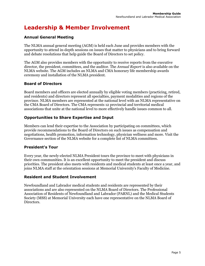# <span id="page-6-0"></span>**Leadership & Member Involvement**

## **Annual General Meeting**

The NLMA annual general meeting (AGM) is held each June and provides members with the opportunity to attend in-depth sessions on issues that matter to physicians and to bring forward and debate resolutions that help guide the Board of Directors to set policy.

The AGM also provides members with the opportunity to receive reports from the executive director, the president, committees, and the auditor. The *Annual Report* is also available on the NLMA website. The AGM includes an NLMA and CMA honorary life membership awards ceremony and installation of the NLMA president.

### **Board of Directors**

Board members and officers are elected annually by eligible voting members (practicing, retired, and residents) and directors represent all specialties, payment modalities and regions of the province. NLMA members are represented at the national level with an NLMA representative on the CMA Board of Directors. The CMA represents 12 provincial and territorial medical associations that unite at the national level to more effectively handle issues common to all.

### **Opportunities to Share Expertise and Input**

Members can lend their expertise to the Association by participating on committees, which provide recommendations to the Board of Directors on such issues as compensation and negotiations, health promotion, information technology, physician wellness and more. Visit the Governance section of the NLMA website for a complete list of NLMA committees.

#### **President's Tour**

Every year, the newly-elected NLMA President tours the province to meet with physicians in their own communities. It is an excellent opportunity to meet the president and discuss priorities. The president also meets with residents and medical students at least once a year, and joins NLMA staff at the orientation sessions at Memorial University's Faculty of Medicine.

### **Resident and Student Involvement**

Newfoundland and Labrador medical students and residents are represented by their associations and are also represented on the NLMA Board of Directors. The Professional Association of Residents of Newfoundland and Labrador (PARNL) and the Medical Students Society (MSS) at Memorial University each have one representative on the NLMA Board of Directors.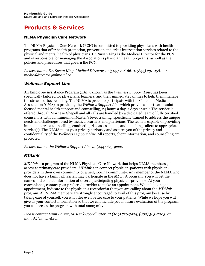# <span id="page-7-0"></span>**Products & Services**

### **NLMA Physician Care Network**

The NLMA Physician Care Network (PCN) is committed to providing physicians with health programs that offer health promotion, prevention and crisis intervention services related to the physical and mental health of physicians. Dr. Susan King is the Medical Director for the PCN and is responsible for managing the Association's physician health programs, as well as the policies and procedures that govern the PCN.

*Please contact Dr. Susan King, Medical Director, at (709) 726-6610, (844) 231-4581, or [medicaldirector@nlma.nl.ca.](mailto:medicaldirector@nlma.nl.ca)* 

#### *Wellness Support Line*

An Employee Assistance Program (EAP), known as the *Wellness Support Line*, has been specifically tailored for physicians, learners, and their immediate families to help them manage the stressors they're facing. The NLMA is proud to participate with the Canadian Medical Association (CMA) in providing the *Wellness Support Line* which provides short-term, solution focused mental health support and counselling, 24 hours a day, 7 days a week. The service is offered through Morneau Shepell and all calls are handled by a dedicated team of fully certified counsellors with a minimum of Master's level training, specifically trained to address the unique needs and challenges faced by medical learners and physicians. The team is capable of providing immediate crisis counselling, conducting risk assessments, and matching callers to appropriate service(s). The NLMA takes your privacy seriously and assures you of the privacy and confidentiality of the *Wellness Support Line*. All reports, client information, and counselling are protected.

*Please contact the Wellness Support Line at (844) 675-9222.*

#### *MDLink*

*MDLink* is a program of the NLMA Physician Care Network that helps NLMA members gain access to primary care providers. *MDLink* can connect physician-patients with physicianproviders in their own community or a neighboring community. Any member of the NLMA who does not have a family physician may participate in the *MDLink* program. You will get the names and contact information of several participating physician-providers. At your convenience, contact your preferred provider to make an appointment. When booking an appointment, indicate to the physician's receptionist that you are calling about the *MDLink*  program. All NLMA members are strongly encouraged to avail of this program because by taking care of yourself, you will offer even better care to your patients. While we hope you will give us your contact information so that we can include you in future evaluation of the program, you can access the program with total anonymity.

*Please contact Lynn Barter, MDLink Coordinator, at (709) 726-7424, (800) 563-2003, or [mdlink@nlma.nl.ca.](mailto:mdlink@nlma.nl.ca)*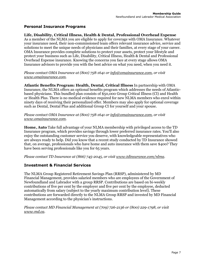#### **Personal Insurance Programs**

**Life, Disability, Critical Illness, Health & Dental, Professional Overhead Expense**  As a member of the NLMA you are eligible to apply for coverage with OMA Insurance. Whatever your insurance need, their non-commissioned team offers relevant insurance advice, service and solutions to meet the unique needs of physicians and their families, at every stage of your career. OMA Insurance provides complete solutions to protect your assets, protect your lifestyle and protect your business such as Life, Disability, Critical Illness, Health & Dental and Professional Overhead Expense insurance. Knowing the concerns you face at every stage allows OMA Insurance advisors to provide you with the best advice on what you need, when you need it.

#### *Please contact OMA Insurance at (800) 758-1641 or [info@omainsurance.com,](mailto:info@omainsurance.com) or visit [www.omainsurance.com.](http://www.omainsurance.com/)*

**Atlantic Benefits Program: Health, Dental, Critical Illness** In partnership with OMA Insurance, the NLMA offers an optional benefits program which addresses the needs of Atlanticbased physicians. This bundled plan consists of \$50,000 Group Critical Illness (CI) and Health or Health Plus. There is no medical evidence required for new NLMA members who enrol within ninety days of receiving their personalized offer. Members may also apply for optional coverage such as Dental, Dental Plus and additional Group CI for yourself and your spouse.

*Please contact OMA Insurance at (800) 758-1641 or [info@omainsurance.com,](mailto:info@omainsurance.com) or visit [www.omainsurance.com.](http://www.omainsurance.com/)*

**Home, Auto** Take full advantage of your NLMA membership with privileged access to the TD Insurance program, which provides savings through lower preferred insurance rates. You'll also enjoy the outstanding customer service you deserve, with knowledgeable representatives who are always ready to help. Did you know that a recent study conducted by TD Insurance showed that, on average, professionals who have home and auto insurance with them save \$400? They have been serving professionals like you for 65 years.

*Please contact TD Insurance at (866) 745-2045, or visit [www.tdinsurance.com/nlma.](http://www.tdinsurance.com/nlma)*

#### **Investment & Financial Services**

The NLMA Group Registered Retirement Savings Plan (RRSP), administered by MD Financial Management, provides salaried members who are employees of the Government of Newfoundland and Labrador with a group RRSP. Contributions are based on bi-weekly contributions of five per cent by the employer and five per cent by the employee, deducted automatically from salary (subject to the yearly maximum contribution level). These contributions are forwarded directly to the NLMA Group RRSP and invested by MD Financial Management according to the physician's instructions.

*Please contact MD Financial Management at (709) 726-2136 or (800) 229-1798, or visit [www.md.ca.](http://www.md.ca/)*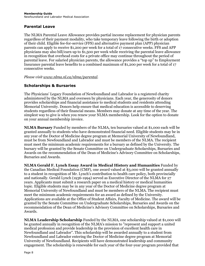#### **Parental Leave**

The NLMA Parental Leave Allowance provides partial income replacement for physician parents regardless of their payment modality, who take temporary leave following the birth or adoption of their child. Eligible fee-for-service (FFS) and alternative payment plan (APP) physician parents can apply to receive \$1,200 per week for a total of 17 consecutive weeks. FFS and APP physicians may also bill/earn up to  $\overline{$31,500}$  per week while receiving the parental leave allowance in recognition that overhead costs for a private office may continue throughout the period of parental leave. For salaried physician parents, the allowance provides a "top up" to Employment Insurance parental leave benefits to a combined maximum of \$1,200 per week for a total of 17 consecutive weeks.

*Please visi[t www.nlma.nl.ca/nlma/parental.](http://www.nlma.nl.ca/nlma/parental)* 

#### **Scholarships & Bursaries**

The Physicians' Legacy Foundation of Newfoundland and Labrador is a registered charity administered by the NLMA and overseen by physicians. Each year, the generosity of donors provides scholarships and financial assistance to medical students and residents attending Memorial University. Donors help ensure that medical education is accessible to deserving students regardless of their financial means. Members may donate at any time of the year. The simplest way to give is when you renew your NLMA membership. Look for the option to donate on your annual membership invoice.

**NLMA Bursary** Funded by members of the NLMA, ten bursaries valued at \$1,000 each will be granted annually to students who have demonstrated financial need. Eligible students may be in any year of the Doctor of Medicine degree program at Memorial University of Newfoundland, must be from Newfoundland and Labrador and must be members of the NLMA. The recipient must meet the minimum academic requirements for a bursary as defined by the University. The bursary will be granted by the Senate Committee on Undergraduate Scholarships, Bursaries and Awards on the recommendation of the Dean of Medicine's Advisory Committee on Scholarships, Bursaries and Awards.

**NLMA Gerald F. Lynch Essay Award in Medical History and Humanities** Funded by the Canadian Medical Foundation (CMF), one award valued at \$3,000 will be granted annually to a student in recognition of Mr. Lynch's contribution to health care policy, both provincially and nationally. Gerald Lynch (1936-1994) served as Executive Director of the NLMA for 27 years. Applicants must submit a research paper on a medical history or medical humanities topic. Eligible students may be in any year of the Doctor of Medicine degree program at Memorial University of Newfoundland and must be members of the NLMA. The recipient must meet the minimum academic requirements for an award as defined by the University. Applications are available at the Office of Student Affairs, Faculty of Medicine. The award will be granted by the Senate Committee on Undergraduate Scholarships, Bursaries and Awards on the recommendation of the Dean of Medicine's Advisory Committee on Scholarships, Bursaries and Awards.

**NLMA Leadership Scholarship** Funded by the NLMA, one scholarship valued at \$1,000 will be granted annually in recognition of the NLMA's mission to "represent and support a united medical profession and provide leadership in the provision of excellent health care in Newfoundland and Labrador". This scholarship will be awarded annually to a student from Newfoundland and Labrador entering the Doctor of Medicine degree program at Memorial University of Newfoundland. Recipients will have demonstrated leadership and community engagement. The scholarship is renewable for each year of the four-year program provided that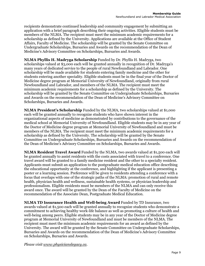recipients demonstrate continued leadership and community engagement by submitting an application with a brief paragraph describing their ongoing activities. Eligible students must be members of the NLMA. The recipient must meet the minimum academic requirements for a scholarship as defined by the University. Applications are available at the Office of Student Affairs, Faculty of Medicine. The scholarship will be granted by the Senate Committee on Undergraduate Scholarships, Bursaries and Awards on the recommendation of the Dean of Medicine's Advisory Committee on Scholarships, Bursaries and Awards.

**NLMA Phyllis H. Madryga Scholarship** Funded by Dr. Phyllis H. Madryga, two scholarships valued at \$3,000 each will be granted annually in recognition of Dr. Madryga's many years of dedicated service to the people of rural Newfoundland and Labrador. One scholarship will be made available for students entering family medicine and the other for students entering another speciality. Eligible students must be in the final year of the Doctor of Medicine degree program at Memorial University of Newfoundland, originally from rural Newfoundland and Labrador, and members of the NLMA. The recipient must meet the minimum academic requirements for a scholarship as defined by the University. The scholarship will be granted by the Senate Committee on Undergraduate Scholarships, Bursaries and Awards on the recommendation of the Dean of Medicine's Advisory Committee on Scholarships, Bursaries and Awards.

**NLMA President's Scholarship** Funded by the NLMA, two scholarships valued at \$1,000 each will be granted annually to recognize students who have shown interest in the organizational aspects of medicine as demonstrated by contributions to the governance of the medical school at Memorial University of Newfoundland. Eligible students may be in any year of the Doctor of Medicine degree program at Memorial University of Newfoundland and must be members of the NLMA. The recipient must meet the minimum academic requirements for a scholarship as defined by the University. The scholarship will be granted by the Senate Committee on Undergraduate Scholarships, Bursaries and Awards on the recommendation of the Dean of Medicine's Advisory Committee on Scholarships, Bursaries and Awards.

**NLMA Resident Travel Award** Funded by the NLMA, two awards valued at \$1,500 each will be granted annually to assist residents with the costs associated with travel to a conference. One travel award will be granted to a family medicine resident and the other to a specialty resident. Applicants must submit an application to the postgraduate medical education office describing the educational opportunity at the conference, and highlighting if the applicant is presenting a poster or a learning session. Preference will be given to residents attending a conference with a focus that overlaps with one of the strategic paths of the NLMA: promotion of rural and remote health, physician health and wellness, sustainable health systems, or physician leadership and professionalism. Eligible residents must be members of the NLMA and can only receive this award once. The award will be granted by the Dean of the Faculty of Medicine on the recommendation of the Associate Dean, Postgraduate Medical Education.

**NLMA TD Insurance Health and Well-being Award** Funded by TD Insurance, two awards valued at \$1,500 each will be granted annually to recognize students who demonstrate a commitment to achieving healthy work-life balance as well as promoting a culture of health and well-being among peers. Eligible students may be in any year of the Doctor of Medicine degree program at Memorial University of Newfoundland and must be members of the NLMA. The recipient must meet the minimum academic requirements for an award as defined by the University. The award will be granted by the Senate Committee on Undergraduate Scholarships, Bursaries and Awards on the recommendation of the Dean of Medicine's Advisory Committee on Scholarships, Bursaries and Awards.

*Please visit [www.physicianslegacy.ca.](http://www.physicianslegacy.ca/)*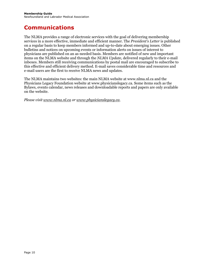# <span id="page-11-0"></span>**Communications**

The NLMA provides a range of electronic services with the goal of delivering membership services in a more effective, immediate and efficient manner. The *President's Letter* is published on a regular basis to keep members informed and up-to-date about emerging issues. Other bulletins and notices on upcoming events or information alerts on issues of interest to physicians are published on an as-needed basis. Members are notified of new and important items on the NLMA website and through the *NLMA Update*, delivered regularly to their e-mail inboxes. Members still receiving communications by postal mail are encouraged to subscribe to this effective and efficient delivery method. E-mail saves considerable time and resources and e-mail users are the first to receive NLMA news and updates.

The NLMA maintains two websites: the main NLMA website at www.nlma.nl.ca and the Physicians Legacy Foundation website at www.physicianslegacy.ca. Some items such as the Bylaws, events calendar, news releases and downloadable reports and papers are only available on the website.

*Please visi[t www.nlma.nl.ca](http://www.nlma.nl.ca/) or [www.physicianslegacy.ca.](http://www.physicianslegacy.ca/)*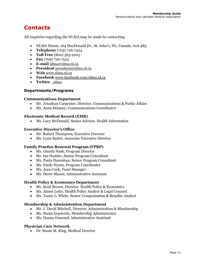# <span id="page-12-0"></span>**Contacts**

All enquiries regarding the NLMA may be made by contacting:

- NLMA House, 164 MacDonald Dr., St. John's, NL, Canada, A1A 4B3
- **Telephone** (709) 726-7424
- **Toll Free** (800) 563-2003
- **Fax** (709) 726-7525
- **E-mail** [nlma@nlma.nl.ca](mailto:nlma@nlma.nl.ca)
- **President** [president@nlma.nl.ca](mailto:president@nlma.nl.ca)
- **Web** [www.nlma.nl.ca](http://www.nlma.nl.ca/)
- **Facebook** [www.facebook.com/nlma.nl.ca](http://www.facebook.com/nlma.nl.ca)
- **Twitter** [\\_nlma](https://twitter.com/_nlma)

#### **Departments/Programs**

#### **Communications Department**

- Mr. Jonathan Carpenter, Director, Communications & Public Affairs
- Ms. Anna Delaney, Communications Coordinator

#### **Electronic Medical Record (EMR)**

• Ms. Lucy McDonald, Senior Advisor, Health Information

#### **Executive Director's Office**

- Mr. Robert Thompson, Executive Director
- Ms. Lynn Barter, Associate Executive Director

#### **Family Practice Renewal Program (FPRP)**

- Ms. Glenda Nash, Program Director
- Mr. Ian Hodder, Senior Program Consultant
- Ms. Paula Hanrahan, Senior Program Consultant
- Ms. Emily Hynes, Program Coordinator
- Ms. Jean Cook, Fund Manager
- Ms. Dawn Mason, Administrative Assistant

#### **Health Policy & Economics Department**

- Mr. Scott Brown, Director, Health Policy & Economics
- Ms. Aimee Letto, Health Policy Analyst & Legal Counsel
- Ms. Tamie L. White, Senior Compensation & Benefits Analyst

#### **Membership & Administration Department**

- Mr. J. David Mitchell, Director, Administration & Membership
- Ms. Suzan Izquierdo, Membership Administrator
- Ms. Donna Osmond, Administrative Assistant

#### **Physician Care Network**

• Dr. Susan M. King, Medical Director